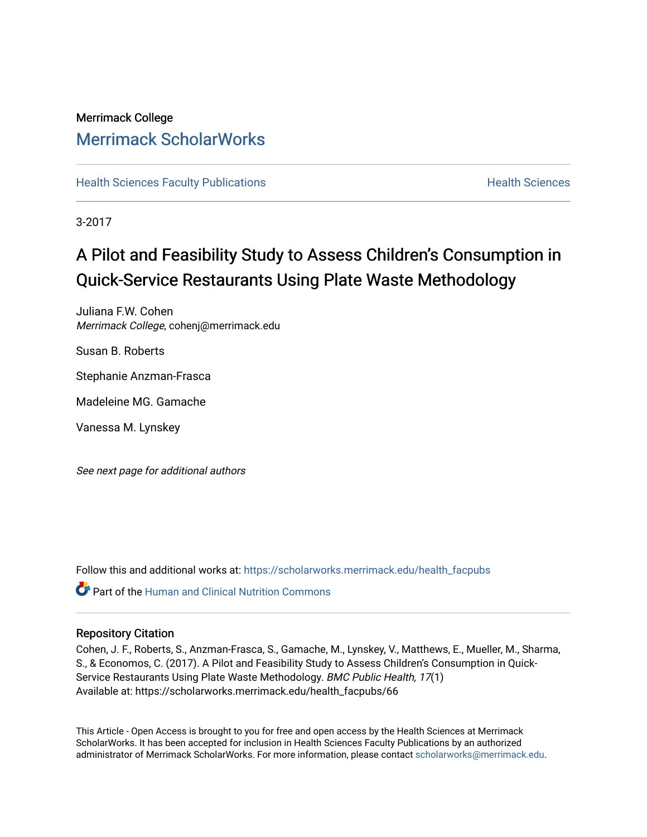## Merrimack College [Merrimack ScholarWorks](https://scholarworks.merrimack.edu/)

**[Health Sciences Faculty Publications](https://scholarworks.merrimack.edu/health_facpubs) Mealth Sciences Health Sciences** Health Sciences

3-2017

# A Pilot and Feasibility Study to Assess Children's Consumption in Quick-Service Restaurants Using Plate Waste Methodology

Juliana F.W. Cohen Merrimack College, cohenj@merrimack.edu

Susan B. Roberts

Stephanie Anzman-Frasca

Madeleine MG. Gamache

Vanessa M. Lynskey

See next page for additional authors

Follow this and additional works at: [https://scholarworks.merrimack.edu/health\\_facpubs](https://scholarworks.merrimack.edu/health_facpubs?utm_source=scholarworks.merrimack.edu%2Fhealth_facpubs%2F66&utm_medium=PDF&utm_campaign=PDFCoverPages) 

Part of the [Human and Clinical Nutrition Commons](http://network.bepress.com/hgg/discipline/97?utm_source=scholarworks.merrimack.edu%2Fhealth_facpubs%2F66&utm_medium=PDF&utm_campaign=PDFCoverPages)

## Repository Citation

Cohen, J. F., Roberts, S., Anzman-Frasca, S., Gamache, M., Lynskey, V., Matthews, E., Mueller, M., Sharma, S., & Economos, C. (2017). A Pilot and Feasibility Study to Assess Children's Consumption in Quick-Service Restaurants Using Plate Waste Methodology. BMC Public Health, 17(1) Available at: https://scholarworks.merrimack.edu/health\_facpubs/66

This Article - Open Access is brought to you for free and open access by the Health Sciences at Merrimack ScholarWorks. It has been accepted for inclusion in Health Sciences Faculty Publications by an authorized administrator of Merrimack ScholarWorks. For more information, please contact [scholarworks@merrimack.edu](mailto:scholarworks@merrimack.edu).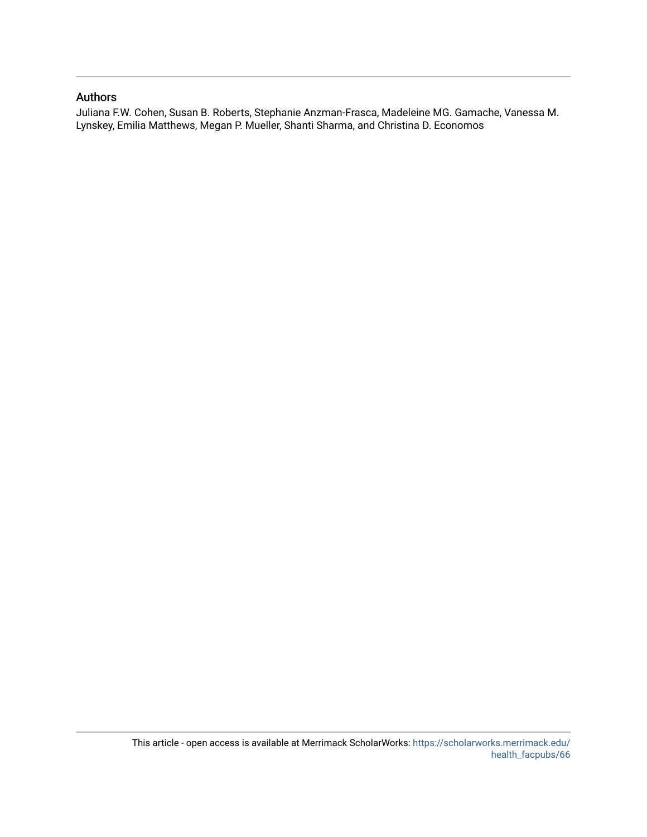## Authors

Juliana F.W. Cohen, Susan B. Roberts, Stephanie Anzman-Frasca, Madeleine MG. Gamache, Vanessa M. Lynskey, Emilia Matthews, Megan P. Mueller, Shanti Sharma, and Christina D. Economos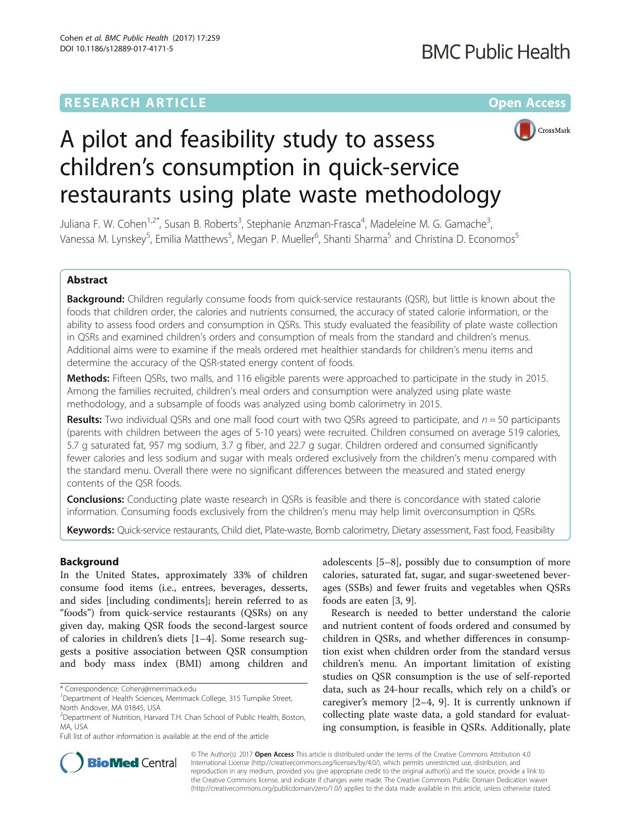## **RESEARCH ARTICLE Example 2014 12:30 The Contract of Contract ACCESS**



# A pilot and feasibility study to assess children's consumption in quick-service restaurants using plate waste methodology

Juliana F. W. Cohen<sup>1,2\*</sup>, Susan B. Roberts<sup>3</sup>, Stephanie Anzman-Frasca<sup>4</sup>, Madeleine M. G. Gamache<sup>3</sup> , Vanessa M. Lynskey<sup>5</sup>, Emilia Matthews<sup>5</sup>, Megan P. Mueller<sup>6</sup>, Shanti Sharma<sup>5</sup> and Christina D. Economos<sup>5</sup>

## Abstract

Background: Children regularly consume foods from quick-service restaurants (QSR), but little is known about the foods that children order, the calories and nutrients consumed, the accuracy of stated calorie information, or the ability to assess food orders and consumption in QSRs. This study evaluated the feasibility of plate waste collection in QSRs and examined children's orders and consumption of meals from the standard and children's menus. Additional aims were to examine if the meals ordered met healthier standards for children's menu items and determine the accuracy of the QSR-stated energy content of foods.

Methods: Fifteen QSRs, two malls, and 116 eligible parents were approached to participate in the study in 2015. Among the families recruited, children's meal orders and consumption were analyzed using plate waste methodology, and a subsample of foods was analyzed using bomb calorimetry in 2015.

**Results:** Two individual QSRs and one mall food court with two QSRs agreed to participate, and  $n = 50$  participants (parents with children between the ages of 5-10 years) were recruited. Children consumed on average 519 calories, 5.7 g saturated fat, 957 mg sodium, 3.7 g fiber, and 22.7 g sugar. Children ordered and consumed significantly fewer calories and less sodium and sugar with meals ordered exclusively from the children's menu compared with the standard menu. Overall there were no significant differences between the measured and stated energy contents of the QSR foods.

**Conclusions:** Conducting plate waste research in QSRs is feasible and there is concordance with stated calorie information. Consuming foods exclusively from the children's menu may help limit overconsumption in QSRs.

Keywords: Quick-service restaurants, Child diet, Plate-waste, Bomb calorimetry, Dietary assessment, Fast food, Feasibility

#### Background

In the United States, approximately 33% of children consume food items (i.e., entrees, beverages, desserts, and sides [including condiments]; herein referred to as "foods") from quick-service restaurants (QSRs) on any given day, making QSR foods the second-largest source of calories in children's diets [[1](#page-9-0)–[4\]](#page-9-0). Some research suggests a positive association between QSR consumption and body mass index (BMI) among children and

Full list of author information is available at the end of the article

adolescents [\[5](#page-9-0)–[8\]](#page-9-0), possibly due to consumption of more calories, saturated fat, sugar, and sugar-sweetened beverages (SSBs) and fewer fruits and vegetables when QSRs foods are eaten [\[3, 9\]](#page-9-0).

Research is needed to better understand the calorie and nutrient content of foods ordered and consumed by children in QSRs, and whether differences in consumption exist when children order from the standard versus children's menu. An important limitation of existing studies on QSR consumption is the use of self-reported data, such as 24-hour recalls, which rely on a child's or caregiver's memory [\[2](#page-9-0)–[4, 9\]](#page-9-0). It is currently unknown if collecting plate waste data, a gold standard for evaluating consumption, is feasible in QSRs. Additionally, plate



© The Author(s). 2017 **Open Access** This article is distributed under the terms of the Creative Commons Attribution 4.0 International License [\(http://creativecommons.org/licenses/by/4.0/](http://creativecommons.org/licenses/by/4.0/)), which permits unrestricted use, distribution, and reproduction in any medium, provided you give appropriate credit to the original author(s) and the source, provide a link to the Creative Commons license, and indicate if changes were made. The Creative Commons Public Domain Dedication waiver [\(http://creativecommons.org/publicdomain/zero/1.0/](http://creativecommons.org/publicdomain/zero/1.0/)) applies to the data made available in this article, unless otherwise stated.

<sup>\*</sup> Correspondence: [Cohenj@merrimack.edu](mailto:Cohenj@merrimack.edu) <sup>1</sup>

<sup>&</sup>lt;sup>1</sup>Department of Health Sciences, Merrimack College, 315 Turnpike Street, North Andover, MA 01845, USA

<sup>&</sup>lt;sup>2</sup>Department of Nutrition, Harvard T.H. Chan School of Public Health, Boston, MA, USA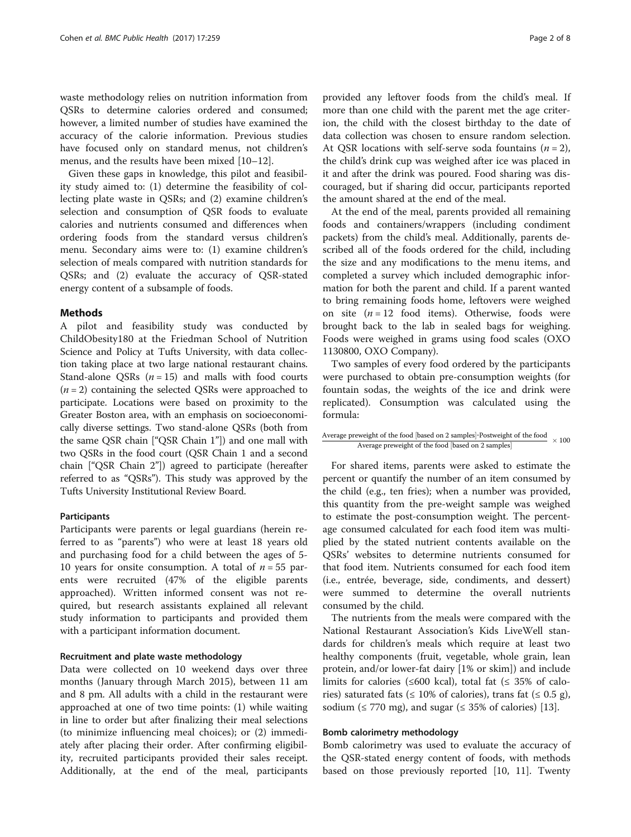waste methodology relies on nutrition information from QSRs to determine calories ordered and consumed; however, a limited number of studies have examined the accuracy of the calorie information. Previous studies have focused only on standard menus, not children's menus, and the results have been mixed [[10](#page-9-0)–[12](#page-9-0)].

Given these gaps in knowledge, this pilot and feasibility study aimed to: (1) determine the feasibility of collecting plate waste in QSRs; and (2) examine children's selection and consumption of QSR foods to evaluate calories and nutrients consumed and differences when ordering foods from the standard versus children's menu. Secondary aims were to: (1) examine children's selection of meals compared with nutrition standards for QSRs; and (2) evaluate the accuracy of QSR-stated energy content of a subsample of foods.

#### Methods

A pilot and feasibility study was conducted by ChildObesity180 at the Friedman School of Nutrition Science and Policy at Tufts University, with data collection taking place at two large national restaurant chains. Stand-alone QSRs  $(n = 15)$  and malls with food courts  $(n = 2)$  containing the selected QSRs were approached to participate. Locations were based on proximity to the Greater Boston area, with an emphasis on socioeconomically diverse settings. Two stand-alone QSRs (both from the same QSR chain ["QSR Chain 1"]) and one mall with two QSRs in the food court (QSR Chain 1 and a second chain ["QSR Chain 2"]) agreed to participate (hereafter referred to as "QSRs"). This study was approved by the Tufts University Institutional Review Board.

#### Participants

Participants were parents or legal guardians (herein referred to as "parents") who were at least 18 years old and purchasing food for a child between the ages of 5- 10 years for onsite consumption. A total of  $n = 55$  parents were recruited (47% of the eligible parents approached). Written informed consent was not required, but research assistants explained all relevant study information to participants and provided them with a participant information document.

#### Recruitment and plate waste methodology

Data were collected on 10 weekend days over three months (January through March 2015), between 11 am and 8 pm. All adults with a child in the restaurant were approached at one of two time points: (1) while waiting in line to order but after finalizing their meal selections (to minimize influencing meal choices); or (2) immediately after placing their order. After confirming eligibility, recruited participants provided their sales receipt. Additionally, at the end of the meal, participants

provided any leftover foods from the child's meal. If more than one child with the parent met the age criterion, the child with the closest birthday to the date of data collection was chosen to ensure random selection. At OSR locations with self-serve soda fountains  $(n = 2)$ , the child's drink cup was weighed after ice was placed in it and after the drink was poured. Food sharing was discouraged, but if sharing did occur, participants reported the amount shared at the end of the meal.

At the end of the meal, parents provided all remaining foods and containers/wrappers (including condiment packets) from the child's meal. Additionally, parents described all of the foods ordered for the child, including the size and any modifications to the menu items, and completed a survey which included demographic information for both the parent and child. If a parent wanted to bring remaining foods home, leftovers were weighed on site  $(n = 12 \text{ food items})$ . Otherwise, foods were brought back to the lab in sealed bags for weighing. Foods were weighed in grams using food scales (OXO 1130800, OXO Company).

Two samples of every food ordered by the participants were purchased to obtain pre-consumption weights (for fountain sodas, the weights of the ice and drink were replicated). Consumption was calculated using the formula:

| Average preweight of the food [based on 2 samples]-Postweight of the food | $\times 100$ |
|---------------------------------------------------------------------------|--------------|
| Average preweight of the food [based on 2 samples]                        |              |

For shared items, parents were asked to estimate the percent or quantify the number of an item consumed by the child (e.g., ten fries); when a number was provided, this quantity from the pre-weight sample was weighed to estimate the post-consumption weight. The percentage consumed calculated for each food item was multiplied by the stated nutrient contents available on the QSRs' websites to determine nutrients consumed for that food item. Nutrients consumed for each food item (i.e., entrée, beverage, side, condiments, and dessert) were summed to determine the overall nutrients consumed by the child.

The nutrients from the meals were compared with the National Restaurant Association's Kids LiveWell standards for children's meals which require at least two healthy components (fruit, vegetable, whole grain, lean protein, and/or lower-fat dairy [1% or skim]) and include limits for calories (≤600 kcal), total fat (≤ 35% of calories) saturated fats ( $\leq 10\%$  of calories), trans fat ( $\leq 0.5$  g), sodium ( $\leq$  770 mg), and sugar ( $\leq$  35% of calories) [\[13\]](#page-9-0).

#### Bomb calorimetry methodology

Bomb calorimetry was used to evaluate the accuracy of the QSR-stated energy content of foods, with methods based on those previously reported [[10, 11\]](#page-9-0). Twenty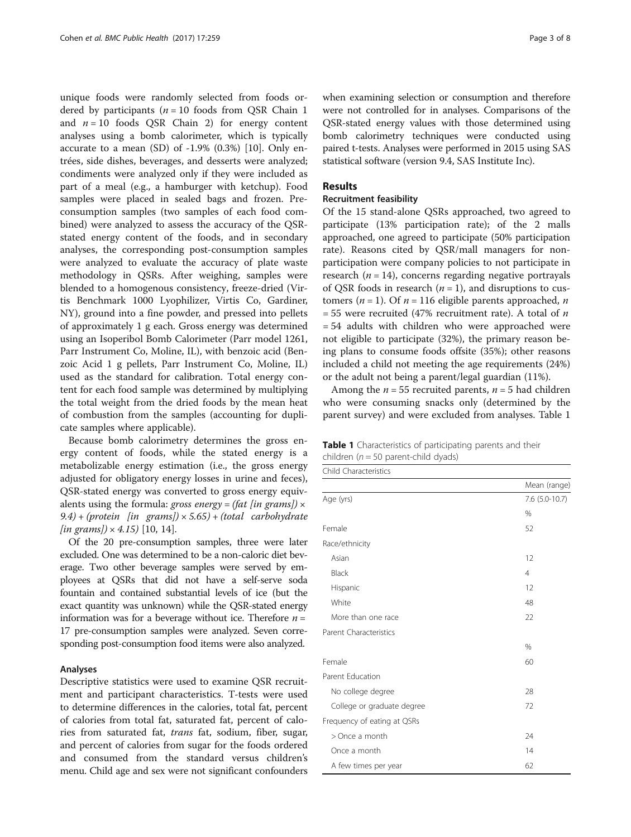unique foods were randomly selected from foods ordered by participants ( $n = 10$  foods from QSR Chain 1 and  $n = 10$  foods QSR Chain 2) for energy content analyses using a bomb calorimeter, which is typically accurate to a mean (SD) of -1.9% (0.3%) [\[10](#page-9-0)]. Only entrées, side dishes, beverages, and desserts were analyzed; condiments were analyzed only if they were included as part of a meal (e.g., a hamburger with ketchup). Food samples were placed in sealed bags and frozen. Preconsumption samples (two samples of each food combined) were analyzed to assess the accuracy of the QSRstated energy content of the foods, and in secondary analyses, the corresponding post-consumption samples were analyzed to evaluate the accuracy of plate waste methodology in QSRs. After weighing, samples were blended to a homogenous consistency, freeze-dried (Virtis Benchmark 1000 Lyophilizer, Virtis Co, Gardiner, NY), ground into a fine powder, and pressed into pellets of approximately 1 g each. Gross energy was determined using an Isoperibol Bomb Calorimeter (Parr model 1261, Parr Instrument Co, Moline, IL), with benzoic acid (Benzoic Acid 1 g pellets, Parr Instrument Co, Moline, IL) used as the standard for calibration. Total energy content for each food sample was determined by multiplying the total weight from the dried foods by the mean heat of combustion from the samples (accounting for duplicate samples where applicable).

Because bomb calorimetry determines the gross energy content of foods, while the stated energy is a metabolizable energy estimation (i.e., the gross energy adjusted for obligatory energy losses in urine and feces), QSR-stated energy was converted to gross energy equivalents using the formula: gross energy = (fat [in grams])  $\times$  $9.4$ ) + (protein [in grams])  $\times$  5.65) + (total carbohydrate  $\{in \; \text{grams} \} \times 4.15$  [\[10, 14\]](#page-9-0).

Of the 20 pre-consumption samples, three were later excluded. One was determined to be a non-caloric diet beverage. Two other beverage samples were served by employees at QSRs that did not have a self-serve soda fountain and contained substantial levels of ice (but the exact quantity was unknown) while the QSR-stated energy information was for a beverage without ice. Therefore  $n =$ 17 pre-consumption samples were analyzed. Seven corresponding post-consumption food items were also analyzed.

#### Analyses

Descriptive statistics were used to examine QSR recruitment and participant characteristics. T-tests were used to determine differences in the calories, total fat, percent of calories from total fat, saturated fat, percent of calories from saturated fat, *trans* fat, sodium, fiber, sugar, and percent of calories from sugar for the foods ordered and consumed from the standard versus children's menu. Child age and sex were not significant confounders when examining selection or consumption and therefore were not controlled for in analyses. Comparisons of the QSR-stated energy values with those determined using bomb calorimetry techniques were conducted using paired t-tests. Analyses were performed in 2015 using SAS statistical software (version 9.4, SAS Institute Inc).

#### Results

#### Recruitment feasibility

Of the 15 stand-alone QSRs approached, two agreed to participate (13% participation rate); of the 2 malls approached, one agreed to participate (50% participation rate). Reasons cited by QSR/mall managers for nonparticipation were company policies to not participate in research ( $n = 14$ ), concerns regarding negative portrayals of QSR foods in research  $(n = 1)$ , and disruptions to customers ( $n = 1$ ). Of  $n = 116$  eligible parents approached,  $n = 116$ = 55 were recruited (47% recruitment rate). A total of  $n$ = 54 adults with children who were approached were not eligible to participate (32%), the primary reason being plans to consume foods offsite (35%); other reasons included a child not meeting the age requirements (24%) or the adult not being a parent/legal guardian (11%).

Among the  $n = 55$  recruited parents,  $n = 5$  had children who were consuming snacks only (determined by the parent survey) and were excluded from analyses. Table 1

|                                         | <b>Table 1</b> Characteristics of participating parents and their |  |  |
|-----------------------------------------|-------------------------------------------------------------------|--|--|
| children ( $n = 50$ parent-child dyads) |                                                                   |  |  |

| Child Characteristics         |                  |
|-------------------------------|------------------|
|                               | Mean (range)     |
| Age (yrs)                     | $7.6$ (5.0-10.7) |
|                               | $\%$             |
| Female                        | 52               |
| Race/ethnicity                |                  |
| Asian                         | 12               |
| Black                         | $\overline{4}$   |
| Hispanic                      | 12               |
| White                         | 48               |
| More than one race            | 22               |
| <b>Parent Characteristics</b> |                  |
|                               | %                |
| Female                        | 60               |
| Parent Education              |                  |
| No college degree             | 28               |
| College or graduate degree    | 72               |
| Frequency of eating at QSRs   |                  |
| > Once a month                | 24               |
| Once a month                  | 14               |
| A few times per year          | 62               |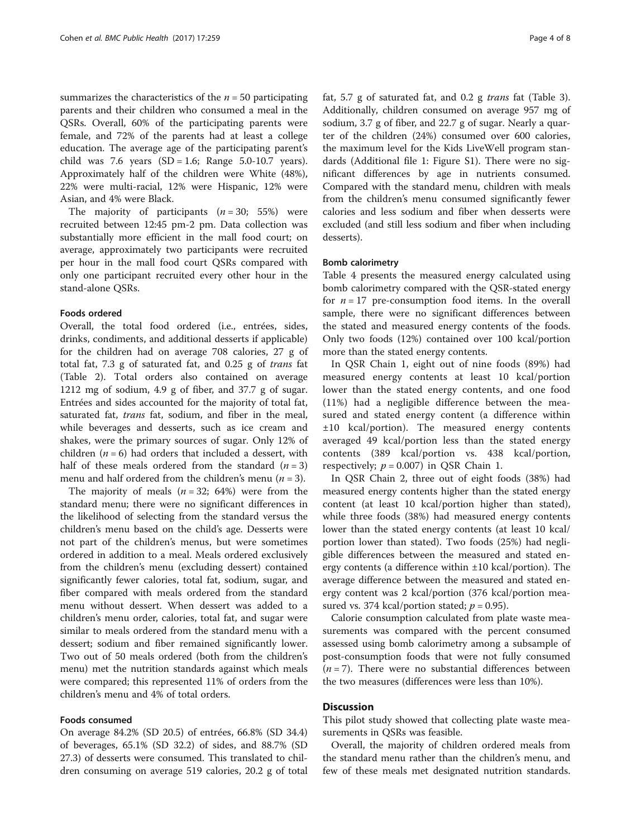summarizes the characteristics of the  $n = 50$  participating parents and their children who consumed a meal in the QSRs. Overall, 60% of the participating parents were female, and 72% of the parents had at least a college education. The average age of the participating parent's child was 7.6 years  $(SD = 1.6;$  Range 5.0-10.7 years). Approximately half of the children were White (48%), 22% were multi-racial, 12% were Hispanic, 12% were Asian, and 4% were Black.

The majority of participants  $(n = 30; 55%)$  were recruited between 12:45 pm-2 pm. Data collection was substantially more efficient in the mall food court; on average, approximately two participants were recruited per hour in the mall food court QSRs compared with only one participant recruited every other hour in the stand-alone QSRs.

#### Foods ordered

Overall, the total food ordered (i.e., entrées, sides, drinks, condiments, and additional desserts if applicable) for the children had on average 708 calories, 27 g of total fat, 7.3 g of saturated fat, and 0.25 g of trans fat (Table [2\)](#page-6-0). Total orders also contained on average 1212 mg of sodium, 4.9 g of fiber, and 37.7 g of sugar. Entrées and sides accounted for the majority of total fat, saturated fat, *trans* fat, sodium, and fiber in the meal, while beverages and desserts, such as ice cream and shakes, were the primary sources of sugar. Only 12% of children ( $n = 6$ ) had orders that included a dessert, with half of these meals ordered from the standard  $(n = 3)$ menu and half ordered from the children's menu ( $n = 3$ ).

The majority of meals  $(n = 32; 64%)$  were from the standard menu; there were no significant differences in the likelihood of selecting from the standard versus the children's menu based on the child's age. Desserts were not part of the children's menus, but were sometimes ordered in addition to a meal. Meals ordered exclusively from the children's menu (excluding dessert) contained significantly fewer calories, total fat, sodium, sugar, and fiber compared with meals ordered from the standard menu without dessert. When dessert was added to a children's menu order, calories, total fat, and sugar were similar to meals ordered from the standard menu with a dessert; sodium and fiber remained significantly lower. Two out of 50 meals ordered (both from the children's menu) met the nutrition standards against which meals were compared; this represented 11% of orders from the children's menu and 4% of total orders.

#### Foods consumed

On average 84.2% (SD 20.5) of entrées, 66.8% (SD 34.4) of beverages, 65.1% (SD 32.2) of sides, and 88.7% (SD 27.3) of desserts were consumed. This translated to children consuming on average 519 calories, 20.2 g of total fat, 5.7 g of saturated fat, and 0.2 g trans fat (Table [3](#page-7-0)). Additionally, children consumed on average 957 mg of sodium, 3.7 g of fiber, and 22.7 g of sugar. Nearly a quarter of the children (24%) consumed over 600 calories, the maximum level for the Kids LiveWell program standards (Additional file [1:](#page-9-0) Figure S1). There were no significant differences by age in nutrients consumed. Compared with the standard menu, children with meals from the children's menu consumed significantly fewer calories and less sodium and fiber when desserts were excluded (and still less sodium and fiber when including desserts).

#### Bomb calorimetry

Table [4](#page-8-0) presents the measured energy calculated using bomb calorimetry compared with the QSR-stated energy for  $n = 17$  pre-consumption food items. In the overall sample, there were no significant differences between the stated and measured energy contents of the foods. Only two foods (12%) contained over 100 kcal/portion more than the stated energy contents.

In QSR Chain 1, eight out of nine foods (89%) had measured energy contents at least 10 kcal/portion lower than the stated energy contents, and one food (11%) had a negligible difference between the measured and stated energy content (a difference within ±10 kcal/portion). The measured energy contents averaged 49 kcal/portion less than the stated energy contents (389 kcal/portion vs. 438 kcal/portion, respectively;  $p = 0.007$ ) in QSR Chain 1.

In QSR Chain 2, three out of eight foods (38%) had measured energy contents higher than the stated energy content (at least 10 kcal/portion higher than stated), while three foods (38%) had measured energy contents lower than the stated energy contents (at least 10 kcal/ portion lower than stated). Two foods (25%) had negligible differences between the measured and stated energy contents (a difference within ±10 kcal/portion). The average difference between the measured and stated energy content was 2 kcal/portion (376 kcal/portion measured vs. 374 kcal/portion stated;  $p = 0.95$ ).

Calorie consumption calculated from plate waste measurements was compared with the percent consumed assessed using bomb calorimetry among a subsample of post-consumption foods that were not fully consumed  $(n = 7)$ . There were no substantial differences between the two measures (differences were less than 10%).

#### **Discussion**

This pilot study showed that collecting plate waste measurements in QSRs was feasible.

Overall, the majority of children ordered meals from the standard menu rather than the children's menu, and few of these meals met designated nutrition standards.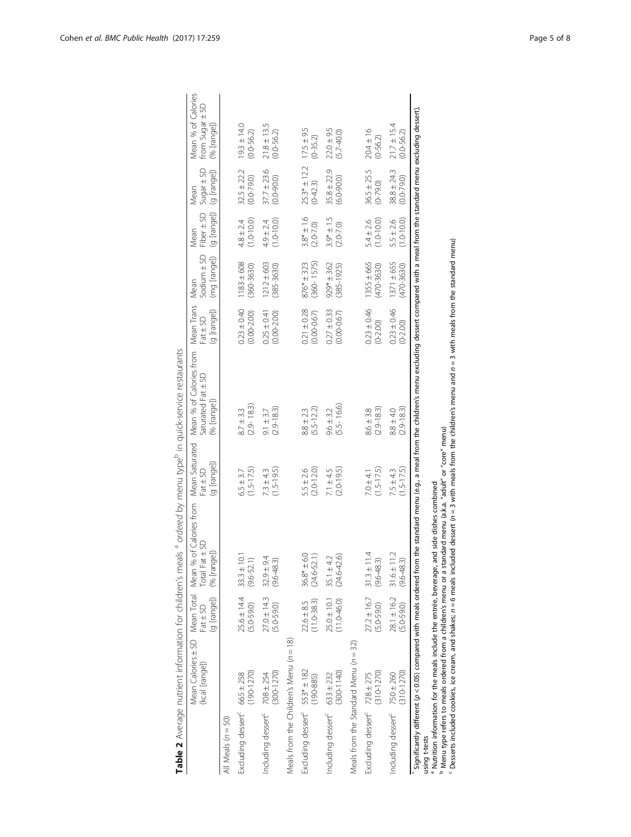<span id="page-6-0"></span>

|                                           | (kcal [range])                              | (g [range])<br>$Fat \pm SD$                       | Mean Calories ± SD Mean Total Mean % of Calories from<br>Total Fat ± SD<br>(% [range])                                                                                                                                                                                                                                                                                                                                          | Mean Saturated<br>(g [range])<br>$Fat \pm SD$ | Mean % of Calories from Mean Trans<br>Saturated Fat ± SD<br>(% [range]) | (g [range])<br>$Part \pm SD$       | Sodium $\pm$ SD<br>(mg [range])<br>Mean | (g [range]) (g [range])<br>Fiber $\pm$ SD<br>Mean | $Sugar \pm SD$<br>Mean            | Mean % of Calories<br>from Sugar ± SD<br>(% [range]) |
|-------------------------------------------|---------------------------------------------|---------------------------------------------------|---------------------------------------------------------------------------------------------------------------------------------------------------------------------------------------------------------------------------------------------------------------------------------------------------------------------------------------------------------------------------------------------------------------------------------|-----------------------------------------------|-------------------------------------------------------------------------|------------------------------------|-----------------------------------------|---------------------------------------------------|-----------------------------------|------------------------------------------------------|
| All Meals $(n = 50)$                      |                                             |                                                   |                                                                                                                                                                                                                                                                                                                                                                                                                                 |                                               |                                                                         |                                    |                                         |                                                   |                                   |                                                      |
| Excluding dessert <sup>c</sup> 665 ± 258  | $(190 - 1270)$                              | $25.6 \pm 14.4$<br>$(5.0 - 59.0)$                 | $33.3 \pm 10.1$<br>$(9.6 - 52.1)$                                                                                                                                                                                                                                                                                                                                                                                               | $(1.5 - 17.5)$<br>$6.5 \pm 3.7$               | $(2.9 - 18.3)$<br>$8.7 \pm 3.3$                                         | $0.23 \pm 0.40$<br>$(0.00 - 2.00)$ | $1183 + 608$<br>$(360 - 3630)$          | $(1.0 - 10.0)$<br>$4.8 \pm 2.4$                   | $32.5 \pm 22.2$<br>$(0.0 - 79.0)$ | $19.3 \pm 14.0$<br>$(0.0 - 56.2)$                    |
| Including dessert <sup>c</sup> 708 ± 254  | $(300 - 1270)$                              | $27.0 \pm 14.3$<br>$(5.0 - 59.0)$                 | $32.9 \pm 9.4$<br>$(9.6 - 48.3)$                                                                                                                                                                                                                                                                                                                                                                                                | $(1.5 - 19.5)$<br>$7.3 \pm 4.3$               | $(2.9 - 18.3)$<br>$9.1 \pm 3.7$                                         | $0.25 \pm 0.41$<br>$(0.00 - 2.00)$ | $1212 \pm 603$<br>$(385 - 3630)$        | $(1.0 - 10.0)$<br>$4.9 \pm 2.4$                   | $37.7 \pm 23.6$<br>$(0.0 - 90.0)$ | $21.8 \pm 13.5$<br>$(0.0 - 56.2)$                    |
|                                           | Meals from the Children's Menu ( $n = 18$ ) |                                                   |                                                                                                                                                                                                                                                                                                                                                                                                                                 |                                               |                                                                         |                                    |                                         |                                                   |                                   |                                                      |
| Excluding dessert <sup>c</sup> 553* ± 182 | $(190 - 885)$                               | $(11.0 - 38.3)$<br>$22.6 \pm 8.5$                 | $36.8* + 6.0$<br>$(24.6 - 52.1)$                                                                                                                                                                                                                                                                                                                                                                                                | $(2.0 - 12.0)$<br>$5.5 \pm 2.6$               | $(5.5 - 12.2)$<br>$8.8 \pm 2.3$                                         | $0.21 \pm 0.28$<br>$(0.00 - 0.67)$ | $(360 - 1575)$<br>$876* + 323$          | $3.8* + 1.6$<br>$(2.0 - 7.0)$                     | $25.3* \pm 12.2$<br>$(0 - 42.3)$  | $17.5 \pm 9.5$<br>$(0-35.2)$                         |
| Including dessert <sup>c</sup> 633 ± 232  | $(300 - 1140)$                              | $25.0 \pm 10.1$<br>$(11.0 - 46.0)$                | $(24.6 - 42.6)$<br>$35.1 \pm 4.2$                                                                                                                                                                                                                                                                                                                                                                                               | $(2.0 - 19.5)$<br>$7.1 \pm 4.5$               | $(5.5 - 16.6)$<br>$9.6 \pm 3.2$                                         | $0.27 \pm 0.33$<br>$(0.00 - 0.67)$ | $929* + 362$<br>$(385 - 1925)$          | $3.9* \pm 1.5$<br>$(2.0 - 7.0)$                   | $35.8 \pm 22.9$<br>$(6.0 - 90.0)$ | $22.0 \pm 9.5$<br>$(5.7 - 40.0)$                     |
|                                           | Meals from the Standard Menu ( $n = 32$ )   |                                                   |                                                                                                                                                                                                                                                                                                                                                                                                                                 |                                               |                                                                         |                                    |                                         |                                                   |                                   |                                                      |
| Excluding dessert <sup>c</sup> 728 ± 275  | $(310 - 1270)$                              | $27.2 \pm 16.7$<br>$(5.0 - 59.0)$                 | $31.3 \pm 11.4$<br>(9.6-48.3)                                                                                                                                                                                                                                                                                                                                                                                                   | $(1.5 - 17.5)$<br>$7.0 \pm 4.1$               | $(2.9 - 18.3)$<br>$8.6 \pm 3.8$                                         | $0.23 \pm 0.46$<br>$(0 - 2.00)$    | $1355 \pm 665$<br>$(470 - 3630)$        | $(1.0 - 10.0)$<br>$5.4 \pm 2.6$                   | $36.5 \pm 25.5$<br>$(0-79.0)$     | $20.4 \pm 16$<br>$(0-56.2)$                          |
| Including dessert <sup>c</sup> 750 ± 260  | $(310 - 1270)$                              | $28.1 \pm 16.2$ $31.6 \pm 11.2$<br>$(5.0 - 59.0)$ | $(9.6 - 48.3)$                                                                                                                                                                                                                                                                                                                                                                                                                  | $(1.5 - 17.5)$<br>$7.5 \pm 4.3$               | $(2.9 - 18.3)$<br>$8.8 \pm 4.0$                                         | $0.23 \pm 0.46$<br>$(0-2.00)$      | $1371 \pm 655$<br>$(470 - 3630)$        | $(1.0 - 10.0)$<br>$5.5 \pm 2.6$                   | $38.8 \pm 24.3$<br>$(0.0 - 79.0)$ | $21.7 \pm 15.4$<br>$(0.0 - 56.2)$                    |
| using t-tests                             |                                             |                                                   | Significantly different (p < 0.05) compared with meals ordered from the standard menu (e.g., a meal from the children's menu excluding dessert compared with a meal from the standard menu excluding dessert).<br>b Menu type refers to meals ordered from a children's menu or a standard menu (a.k.a. "adult" or "core" menu)<br>a Nutrition information for the meals include the entrée, beverage, and side dishes combined |                                               | $\ddot{\phantom{a}}$                                                    |                                    |                                         |                                                   |                                   |                                                      |

Menu type refers to meals ordered from a children's menu or a standard menu (a.k.a. "adult" or "core" menu)

 $^{\circ}$  Desserts included cookies, ice cream, and shakes;  $n = 6$  meals included dessert ( $n = 3$  with meals from the children's menu and  $n = 3$  with meals from the standard menu)

Table 2 Average nutrient information for children's meals <sup>a</sup> ordered by menu type<sup>b</sup> in quick-service restaurants

Table 2 Average nutrient information for children's meals <sup>a</sup> ordered by menu type<sup>b</sup> in quick-service restaurants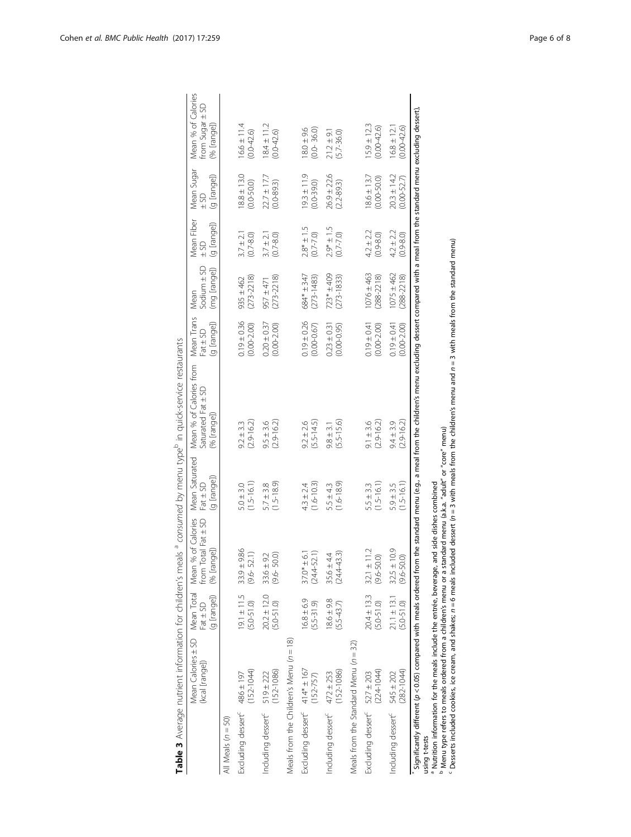<span id="page-7-0"></span>

|                                              | Mean Calories ± SD<br>(kcal [range])                                                                                                                                                                          | Mean Total<br>$Part \pm 5D$                       | Mean % of Calories<br>from Total Fat ± SD | Mean Saturated<br>Fat ± SD      | Mean % of Calories from<br>Saturated Fat ± SD                                                                                                                                                                  | Mean Trans<br>$Part \pm SD$        | $S$ odium $\pm$ SD<br>Mean       | Mean Fiber<br>$-50$             | Mean Sugar<br>$-50$                | Mean % of Calories<br>from Sugar ± SD |
|----------------------------------------------|---------------------------------------------------------------------------------------------------------------------------------------------------------------------------------------------------------------|---------------------------------------------------|-------------------------------------------|---------------------------------|----------------------------------------------------------------------------------------------------------------------------------------------------------------------------------------------------------------|------------------------------------|----------------------------------|---------------------------------|------------------------------------|---------------------------------------|
|                                              |                                                                                                                                                                                                               | (q [range])                                       | (% [range])                               | (g [range])                     | (% [range])                                                                                                                                                                                                    | (g [range])                        | (mg [range])                     | (g [range])                     | (g [range])                        | (% [range])                           |
| All Meals $(n = 50)$                         |                                                                                                                                                                                                               |                                                   |                                           |                                 |                                                                                                                                                                                                                |                                    |                                  |                                 |                                    |                                       |
| Excluding dessert <sup>c</sup> 486 ± 197     | $(152 - 1044)$                                                                                                                                                                                                | $19.1 \pm 11.5$<br>$(5.0 - 51.0)$                 | $33.9 + 9.86$<br>52.1)<br>$9.6 -$         | $(1.5 - 16.1)$<br>$5.0 \pm 3.0$ | $(2.9 - 16.2)$<br>$9.2 \pm 3.3$                                                                                                                                                                                | $0.19 \pm 0.36$<br>$(0.00 - 2.00)$ | $(273 - 2218)$<br>$935 \pm 462$  | $(0.7 - 8.0)$<br>$3.7 \pm 2.7$  | $18.8 \pm 13.0$<br>$(0.0 - 50.0)$  | $6.6 \pm 11.4$<br>$(0.0 - 42.6)$      |
| Including dessert <sup>c</sup> 519 ± 222     | $(152 - 1086)$                                                                                                                                                                                                | $20.2 \pm 12.0$<br>$(5.0 - 51.0)$                 | $33.6 \pm 9.2$<br>50.0)<br>9.6            | $(1.5 - 18.9)$<br>$5.7 \pm 3.8$ | $(2.9 - 16.2)$<br>$9.5 \pm 3.6$                                                                                                                                                                                | $0.20 \pm 0.37$<br>$(0.00 - 2.00)$ | $(273 - 2218)$<br>$957 \pm 471$  | $(0.7 - 8.0)$<br>$3.7 \pm 2.7$  | $22.7 \pm 17.7$<br>$(0.0 - 89.3)$  | $18.4 \pm 11.2$<br>$(0.0 - 42.6)$     |
|                                              | Meals from the Children's Menu ( $n = 18$ )                                                                                                                                                                   |                                                   |                                           |                                 |                                                                                                                                                                                                                |                                    |                                  |                                 |                                    |                                       |
| Excluding dessert <sup>c</sup> 414* ± 167    | $(152 - 757)$                                                                                                                                                                                                 | $6.8 \pm 6.9$<br>$(5.5 - 31.9)$                   | $(24.4 - 52.1)$<br>$37.0* \pm 6.1$        | $(1.6 - 10.3)$<br>$4.3 \pm 2.4$ | $(5.5 - 14.5)$<br>$9.2 \pm 2.6$                                                                                                                                                                                | $0.19 \pm 0.26$<br>$(0.00 - 0.67)$ | $684* \pm 347$<br>$(273 - 1483)$ | $2.8* \pm 1.5$<br>$(0.7 - 7.0)$ | $9.3 \pm 11.9$<br>$(0.0 - 39.0)$   | $18.0 \pm 9.6$<br>$(0.0 - 36.0)$      |
| Including dessert <sup>c</sup> $472 \pm 253$ | $(152 - 1086)$                                                                                                                                                                                                | $18.6 \pm 9.8$<br>$(5.5 - 43.7)$                  | $(24.4 - 43.3)$<br>$35.6 \pm 4.4$         | $(1.6 - 18.9)$<br>$5.5 \pm 4.3$ | $(5.5 - 15.6)$<br>$9.8 \pm 3.1$                                                                                                                                                                                | $0.23 \pm 0.31$<br>$(0.00 - 0.95)$ | $723* + 409$<br>$(273 - 1833)$   | $2.9* \pm 1.5$<br>$(0.7 - 7.0)$ | $26.9 \pm 22.6$<br>$(2.2 - 89.3)$  | $21.2 \pm 9.1$<br>$(5.7 - 36.0)$      |
|                                              | Meals from the Standard Menu ( $n = 32$ )                                                                                                                                                                     |                                                   |                                           |                                 |                                                                                                                                                                                                                |                                    |                                  |                                 |                                    |                                       |
| Excluding dessert <sup>c</sup> 527 ± 203     | $(224 - 1044)$                                                                                                                                                                                                | $20.4 \pm 13.3$<br>$(5.0 - 51.0)$                 | $32.1 \pm 11.2$<br>(9.6-50.0)             | $(1.5 - 16.1)$<br>$5.5 \pm 3.3$ | $(2.9 - 16.2)$<br>$9.1 \pm 3.6$                                                                                                                                                                                | $0.19 \pm 0.41$<br>$(0.00 - 2.00)$ | $1076 \pm 463$<br>$(288 - 2218)$ | $4.2 \pm 2.2$<br>$(0.9 - 8.0)$  | $18.6 \pm 13.7$<br>$(0.00 - 50.0)$ | $15.9 \pm 12.3$<br>$(0.00 - 42.6)$    |
| Including dessert <sup>c</sup> 545 ± 202     | $(282 - 1044)$                                                                                                                                                                                                | $21.1 \pm 13.1$ $32.5 \pm 10.9$<br>$(5.0 - 51.0)$ | $(9.6 - 50.0)$                            | $(1.5 - 16.1)$<br>$5.9 \pm 3.5$ | $(2.9 - 16.2)$<br>$9.4 \pm 3.9$                                                                                                                                                                                | $0.19 \pm 0.41$<br>$(0.00 - 2.00)$ | $1075 \pm 462$<br>$(288 - 2218)$ | $4.2 \pm 2.2$<br>$(0.9 - 8.0)$  | $20.3 \pm 14.2$<br>$(0.00 - 52.7)$ | $16.8 \pm 12.1$<br>$(0.00 - 42.6)$    |
| using t-tests                                | b Menu type refers to meals ordered from a children's menu or a standard menu (a.k.a. "adult" or "core" menu)<br>a Nutrition information for the meals include the entrée, beverage, and side dishes combined |                                                   |                                           |                                 | Significantly different (p < 0.05) compared with meals ordered from the standard menu (e.g., a meal from the children's menu excluding dessert compared with a meal from the standard menu excluding dessert). |                                    |                                  |                                 |                                    |                                       |

Table 3 Average nutrient information for children's meals <sup>a</sup> consumed by menu type<sup>b</sup> in quick-service restaurants Table 3 Average nutrient information for children's meals <sup>a</sup> consumed by menu type<sup>b</sup> in quick-service restaurants

 $^{\circ}$  Desserts included cookies, ice cream, and shakes;  $n = 6$  meals included dessert ( $n = 3$  with meals from the children's menu and  $n = 3$  with meals from the standard menu)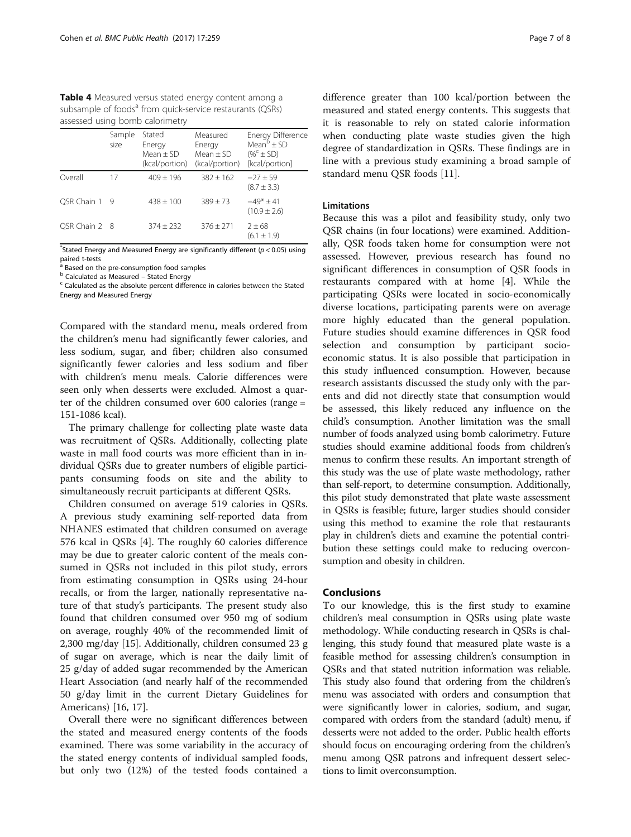<span id="page-8-0"></span>Table 4 Measured versus stated energy content among a subsample of foods<sup>a</sup> from quick-service restaurants (QSRs) assessed using bomb calorimetry

|               | Sample<br>size | Stated<br>Energy<br>$Mean + SD$<br>(kcal/portion) | Measured<br>Energy<br>$Mean + SD$<br>(kcal/portion) | Energy Difference<br>Mean $\mathrm{^b}$ $\pm$ SD<br>$(\%^c \pm SD)$<br>[kcal/portion] |
|---------------|----------------|---------------------------------------------------|-----------------------------------------------------|---------------------------------------------------------------------------------------|
| Overall       | 17             | $409 + 196$                                       | $382 + 162$                                         | $-27 + 59$<br>$(8.7 \pm 3.3)$                                                         |
| OSR Chain 1   | -9             | $438 + 100$                                       | $389 + 73$                                          | $-49* + 41$<br>$(10.9 \pm 2.6)$                                                       |
| OSR Chain 2 8 |                | $374 \pm 232$                                     | $376 + 271$                                         | $2 \pm 68$<br>$(6.1 \pm 1.9)$                                                         |

\*Stated Energy and Measured Energy are significantly different ( $p < 0.05$ ) using paired t-tests

 $^a$  Based on the pre-consumption food samples  $^b$  Calculated as Measured – Stated Energy

 $\epsilon$  Calculated as the absolute percent difference in calories between the Stated Energy and Measured Energy

Compared with the standard menu, meals ordered from the children's menu had significantly fewer calories, and less sodium, sugar, and fiber; children also consumed significantly fewer calories and less sodium and fiber with children's menu meals. Calorie differences were seen only when desserts were excluded. Almost a quarter of the children consumed over 600 calories (range = 151-1086 kcal).

The primary challenge for collecting plate waste data was recruitment of QSRs. Additionally, collecting plate waste in mall food courts was more efficient than in individual QSRs due to greater numbers of eligible participants consuming foods on site and the ability to simultaneously recruit participants at different QSRs.

Children consumed on average 519 calories in QSRs. A previous study examining self-reported data from NHANES estimated that children consumed on average 576 kcal in QSRs [\[4](#page-9-0)]. The roughly 60 calories difference may be due to greater caloric content of the meals consumed in QSRs not included in this pilot study, errors from estimating consumption in QSRs using 24-hour recalls, or from the larger, nationally representative nature of that study's participants. The present study also found that children consumed over 950 mg of sodium on average, roughly 40% of the recommended limit of 2,300 mg/day [\[15\]](#page-9-0). Additionally, children consumed 23 g of sugar on average, which is near the daily limit of 25 g/day of added sugar recommended by the American Heart Association (and nearly half of the recommended 50 g/day limit in the current Dietary Guidelines for Americans) [[16, 17](#page-9-0)].

Overall there were no significant differences between the stated and measured energy contents of the foods examined. There was some variability in the accuracy of the stated energy contents of individual sampled foods, but only two (12%) of the tested foods contained a

difference greater than 100 kcal/portion between the measured and stated energy contents. This suggests that it is reasonable to rely on stated calorie information when conducting plate waste studies given the high degree of standardization in QSRs. These findings are in line with a previous study examining a broad sample of standard menu QSR foods [\[11\]](#page-9-0).

#### Limitations

Because this was a pilot and feasibility study, only two QSR chains (in four locations) were examined. Additionally, QSR foods taken home for consumption were not assessed. However, previous research has found no significant differences in consumption of QSR foods in restaurants compared with at home [[4\]](#page-9-0). While the participating QSRs were located in socio-economically diverse locations, participating parents were on average more highly educated than the general population. Future studies should examine differences in QSR food selection and consumption by participant socioeconomic status. It is also possible that participation in this study influenced consumption. However, because research assistants discussed the study only with the parents and did not directly state that consumption would be assessed, this likely reduced any influence on the child's consumption. Another limitation was the small number of foods analyzed using bomb calorimetry. Future studies should examine additional foods from children's menus to confirm these results. An important strength of this study was the use of plate waste methodology, rather than self-report, to determine consumption. Additionally, this pilot study demonstrated that plate waste assessment in QSRs is feasible; future, larger studies should consider using this method to examine the role that restaurants play in children's diets and examine the potential contribution these settings could make to reducing overconsumption and obesity in children.

#### Conclusions

To our knowledge, this is the first study to examine children's meal consumption in QSRs using plate waste methodology. While conducting research in QSRs is challenging, this study found that measured plate waste is a feasible method for assessing children's consumption in QSRs and that stated nutrition information was reliable. This study also found that ordering from the children's menu was associated with orders and consumption that were significantly lower in calories, sodium, and sugar, compared with orders from the standard (adult) menu, if desserts were not added to the order. Public health efforts should focus on encouraging ordering from the children's menu among QSR patrons and infrequent dessert selections to limit overconsumption.